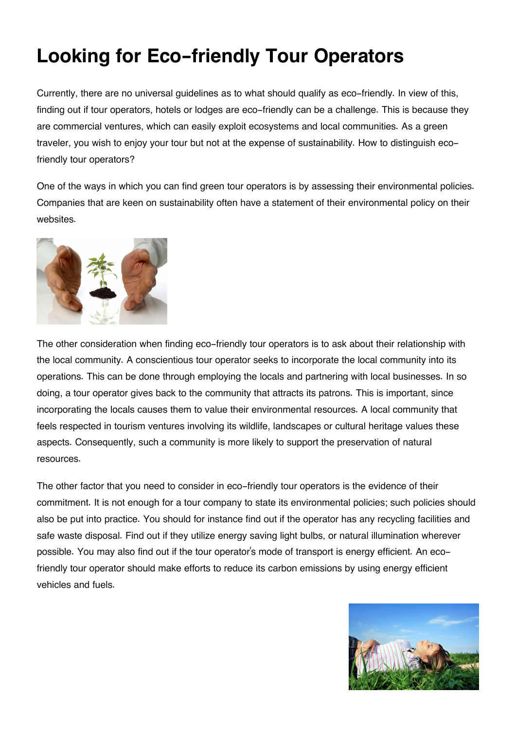## **Looking for Eco-friendly Tour Operators**

Currently, there are no universal guidelines as to what should qualify as eco-friendly. In view of this, finding out if tour operators, hotels or lodges are eco-friendly can be a challenge. This is because they are commercial ventures, which can easily exploit ecosystems and local communities. As a green traveler, you wish to enjoy your tour but not at the expense of sustainability. How to distinguish ecofriendly tour operators?

One of the ways in which you can find green tour operators is by assessing their environmental policies. Companies that are keen on sustainability often have a statement of their environmental policy on their websites.



The other consideration when finding eco-friendly tour operators is to ask about their relationship with the local community. A conscientious tour operator seeks to incorporate the local community into its operations. This can be done through employing the locals and partnering with local businesses. In so doing, a tour operator gives back to the community that attracts its patrons. This is important, since incorporating the locals causes them to value their environmental resources. A local community that feels respected in tourism ventures involving its wildlife, landscapes or cultural heritage values these aspects. Consequently, such a community is more likely to support the preservation of natural resources.

The other factor that you need to consider in eco-friendly tour operators is the evidence of their commitment. It is not enough for a tour company to state its environmental policies; such policies should also be put into practice. You should for instance find out if the operator has any recycling facilities and safe waste disposal. Find out if they utilize energy saving light bulbs, or natural illumination wherever possible. You may also find out if the tour operator's mode of transport is energy efficient. An ecofriendly tour operator should make efforts to reduce its carbon emissions by using energy efficient vehicles and fuels.

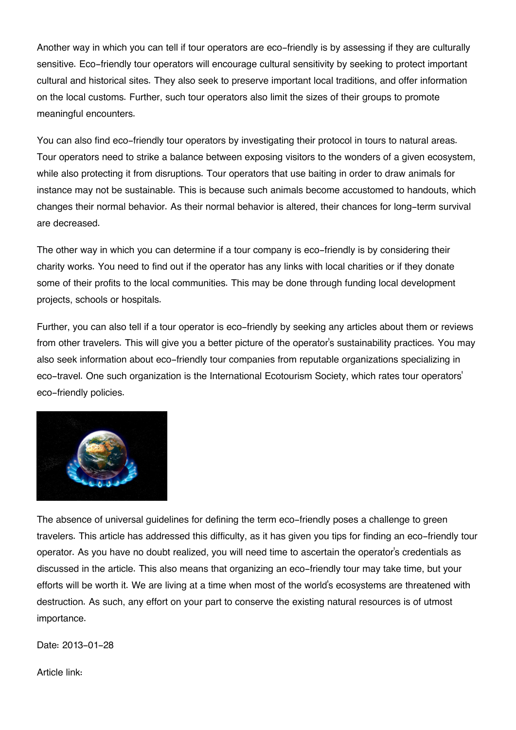Another way in which you can tell if tour operators are eco-friendly is by assessing if they are culturally sensitive. Eco-friendly tour operators will encourage cultural sensitivity by seeking to protect important cultural and historical sites. They also seek to preserve important local traditions, and offer information on the local customs. Further, such tour operators also limit the sizes of their groups to promote meaningful encounters.

You can also find eco-friendly tour operators by investigating their protocol in tours to natural areas. Tour operators need to strike a balance between exposing visitors to the wonders of a given ecosystem, while also protecting it from disruptions. Tour operators that use baiting in order to draw animals for instance may not be sustainable. This is because such animals become accustomed to handouts, which changes their normal behavior. As their normal behavior is altered, their chances for long-term survival are decreased.

The other way in which you can determine if a tour company is eco-friendly is by considering their charity works. You need to find out if the operator has any links with local charities or if they donate some of their profits to the local communities. This may be done through funding local development projects, schools or hospitals.

Further, you can also tell if a tour operator is eco-friendly by seeking any articles about them or reviews from other travelers. This will give you a better picture of the operator's sustainability practices. You may also seek information about eco-friendly tour companies from reputable organizations specializing in eco-travel. One such organization is the International Ecotourism Society, which rates tour operators' eco-friendly policies.



The absence of universal guidelines for defining the term eco-friendly poses a challenge to green travelers. This article has addressed this difficulty, as it has given you tips for finding an eco-friendly tour operator. As you have no doubt realized, you will need time to ascertain the operator's credentials as discussed in the article. This also means that organizing an eco-friendly tour may take time, but your efforts will be worth it. We are living at a time when most of the world's ecosystems are threatened with destruction. As such, any effort on your part to conserve the existing natural resources is of utmost importance.

Date: 2013-01-28

Article link: